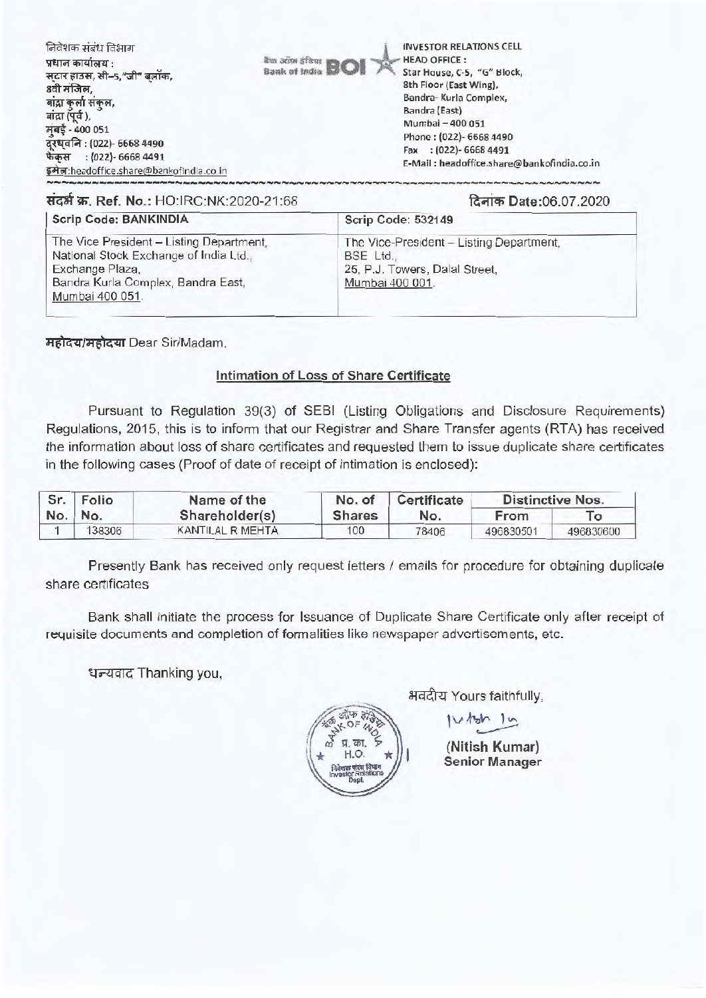| निवेशक संबंध विभाग<br>प्रधान कार्यालय :<br>सटार हाउस, सी-5,"जी" बलॉक,<br>8वी मंजिल,<br>बांद्रा कुर्ला संकुल,<br>बांद्रा (पूर्व),<br>मुंबई - 400 051<br>दूरध्वनि : (022)- 6668 4490<br>फेक्स     : (022)- 6668 4491<br>इमेल:headoffice.share@bankofindia.co.in | <b><i>Ran Jiffy</i></b> at EQI | <b>INVESTOR RELATIONS CELL</b><br><b>HEAD OFFICE:</b><br>Star House, C-5, "G" Block,<br>8th Floor (East Wing),<br>Bandra- Kurla Complex,<br>Bandra (East)<br>Mumbai - 400 051<br>Phone: (022)- 6668 4490<br>Fax: (022)-6668 4491<br>E-Mail: headoffice.share@bankofindia.co.in |
|---------------------------------------------------------------------------------------------------------------------------------------------------------------------------------------------------------------------------------------------------------------|--------------------------------|--------------------------------------------------------------------------------------------------------------------------------------------------------------------------------------------------------------------------------------------------------------------------------|
| संदर्भ क्र. Ref. No.: HO:IRC:NK:2020-21:68                                                                                                                                                                                                                    |                                | दिनांक Date:06.07.2020                                                                                                                                                                                                                                                         |

## Scrip Code: BANKINDIA **Scrip Code: 532149** The Vice President - Listing Department, The Vice-President - Listing Department, National Stock Exchange of India Ltd., BSE Ltd.. Exchange Plaza, 25. P.J. Towers, Dalal Street. Bandra Kurla Complex, Bandra East, Mumbai 400 001. Mumbai 400 051.

महोदय/महोदया Dear Sir/Madam,

## Intimation of Loss of Share Certificate

Pursuant to Regulation 39(3) of SEBI (Listing Obligations and Disclosure Reguirements) Regulations, 2015, this is to inform that our Registrar and Share Transfer agents (RTA) has received the information about loss of share certificates and requested them to issue duplicate share certificates in the following cases (Proof of date of receipt of intimation is enclosed):

| Sr. | Folio   | Name of the      | No. of        | Certificate | <b>Distinctive Nos.</b> |           |
|-----|---------|------------------|---------------|-------------|-------------------------|-----------|
|     | No. No. | Shareholder(s)   | <b>Shares</b> | No.         | From                    |           |
|     | 138306  | KANTILAL R MEHTA | 100           | 78406       | 496830501               | 496830600 |

Presently Bank has received only request letters / emails for procedure for obtaining duplicate share certificates

Bank shall initiate the process for Issuance of Duplicate Share Certificate only after receipt of requisite documents and completion of formalities like newspaper advertisements, etc.

धन्यवाद Thanking you.

अवदीय Yours faithfully.

भाफ ३

 $15h$  lu

(Nitish Kumar) **Senior Manager**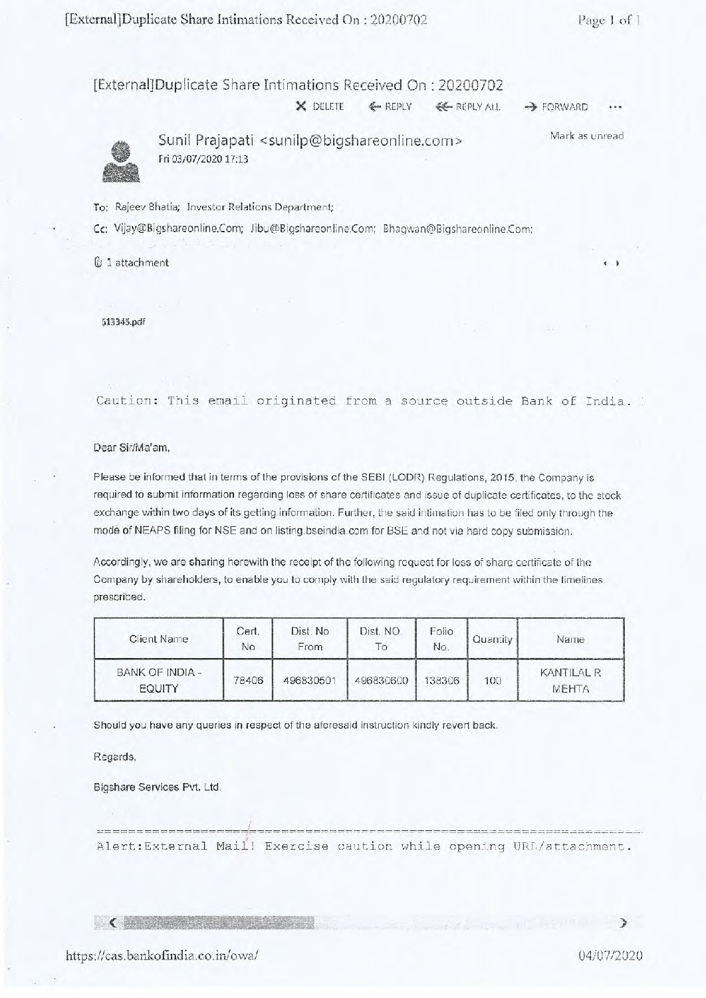## [External] Duplicate Share Intimations Received On : 20200702

X DELETE  $\leftarrow$  REPLY  $\leftarrow$  REPLY ALL  $\rightarrow$  FORWARD



Sunil Prajapati <sunilp@bigshareonline.com> Fri 03/07/2020 17:13 Mark as unread

To: Rajeev Bhatia; Investor Relations Department;

Cc: Vijay©Bigshareonline,Com; Jibu@Bigshareonline.Com; Bhagwan@Bigshareonline.Com;

1 attachment

513345.pdf

Caution: This email originated from a source outside Bank of India.

Dear Sir/Ma'am,

Please be informed that in terms of the provisions of the SEBI (LODR) Regulations, 2015, the Company is required to submit information regarding loss of share certificates and issue of duplicate certificates, to the stock exchange within two days of its getting information. Further, the said intimation has to be filed only through the mode of NEAPS filing for NSE and on listing.bseindia.com for BSE and not via hard copy submission.

Accordingly, we are sharing herewith the receipt of the following request for loss of share certificate of the Company by shareholders, to enable you to comply with the said regulatory requirement within the timelines prescribed.

| Client Name                      | Cert.<br>No | Dist. No<br>From | Dist. NO.<br>$\overline{1}$ | Folio<br>No. | Quantity | Name                       |
|----------------------------------|-------------|------------------|-----------------------------|--------------|----------|----------------------------|
| BANK OF INDIA -<br><b>EQUITY</b> | 78406       | 496830501        | 496830600                   | 138306       | 100      | KANTILAL R<br><b>MEHTA</b> |

Should you have any queries in respect of the aforesaid instruction kindly revert back.

Regards,

Bigshare Services Pvt. Ltd.

Alert:External Mail! Exercise caution while opening URL/attachment.